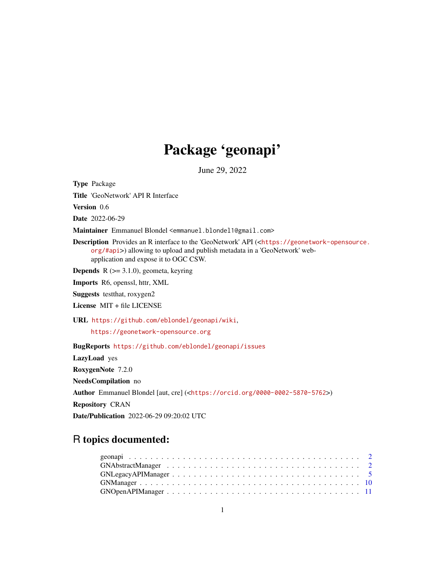## Package 'geonapi'

June 29, 2022

<span id="page-0-0"></span>Type Package Title 'GeoNetwork' API R Interface Version 0.6 Date 2022-06-29 Maintainer Emmanuel Blondel <emmanuel.blondel1@gmail.com> Description Provides an R interface to the 'GeoNetwork' API (<[https://geonetwork-opensource.](https://geonetwork-opensource.org/#api) [org/#api](https://geonetwork-opensource.org/#api)>) allowing to upload and publish metadata in a 'GeoNetwork' webapplication and expose it to OGC CSW. **Depends**  $R$  ( $>= 3.1.0$ ), geometa, keyring Imports R6, openssl, httr, XML Suggests testthat, roxygen2 License MIT + file LICENSE URL <https://github.com/eblondel/geonapi/wiki>, <https://geonetwork-opensource.org> BugReports <https://github.com/eblondel/geonapi/issues> LazyLoad yes RoxygenNote 7.2.0 NeedsCompilation no Author Emmanuel Blondel [aut, cre] (<<https://orcid.org/0000-0002-5870-5762>>) Repository CRAN

Date/Publication 2022-06-29 09:20:02 UTC

## R topics documented: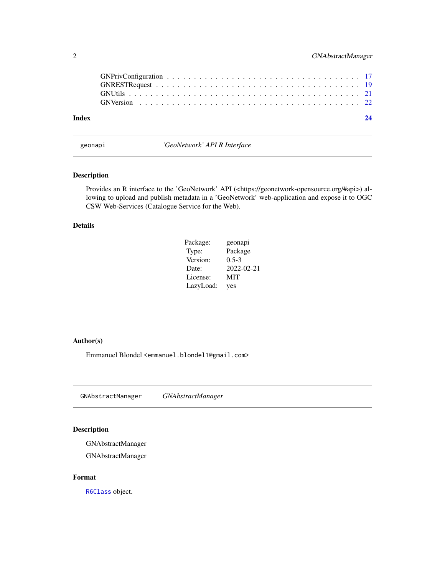<span id="page-1-0"></span>

| Index | 24 |
|-------|----|

geonapi *'GeoNetwork' API R Interface*

## Description

Provides an R interface to the 'GeoNetwork' API (<https://geonetwork-opensource.org/#api>) allowing to upload and publish metadata in a 'GeoNetwork' web-application and expose it to OGC CSW Web-Services (Catalogue Service for the Web).

## Details

| Package:  | geonapi    |
|-----------|------------|
| Type:     | Package    |
| Version:  | $0.5-3$    |
| Date:     | 2022-02-21 |
| License:  | MIT        |
| LazyLoad: | yes        |

#### Author(s)

Emmanuel Blondel <emmanuel.blondel1@gmail.com>

<span id="page-1-1"></span>GNAbstractManager *GNAbstractManager*

## Description

GNAbstractManager

GNAbstractManager

## Format

[R6Class](#page-0-0) object.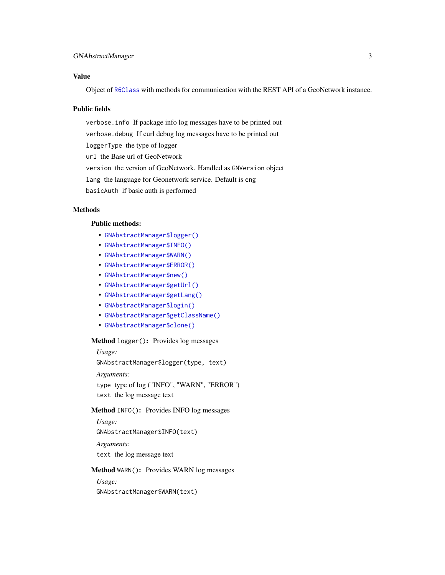## <span id="page-2-3"></span>GNAbstractManager 3

## Value

Object of [R6Class](#page-0-0) with methods for communication with the REST API of a GeoNetwork instance.

#### Public fields

verbose.info If package info log messages have to be printed out verbose.debug If curl debug log messages have to be printed out loggerType the type of logger url the Base url of GeoNetwork version the version of GeoNetwork. Handled as GNVersion object lang the language for Geonetwork service. Default is eng basicAuth if basic auth is performed

## **Methods**

## Public methods:

- [GNAbstractManager\\$logger\(\)](#page-2-0)
- [GNAbstractManager\\$INFO\(\)](#page-2-1)
- [GNAbstractManager\\$WARN\(\)](#page-2-2)
- [GNAbstractManager\\$ERROR\(\)](#page-3-0)
- [GNAbstractManager\\$new\(\)](#page-3-1)
- [GNAbstractManager\\$getUrl\(\)](#page-3-2)
- [GNAbstractManager\\$getLang\(\)](#page-3-3)
- [GNAbstractManager\\$login\(\)](#page-3-4)
- [GNAbstractManager\\$getClassName\(\)](#page-4-1)
- [GNAbstractManager\\$clone\(\)](#page-4-2)

#### <span id="page-2-0"></span>Method logger(): Provides log messages

*Usage:*

GNAbstractManager\$logger(type, text)

*Arguments:*

type type of log ("INFO", "WARN", "ERROR") text the log message text

#### <span id="page-2-1"></span>Method INFO(): Provides INFO log messages

*Usage:*

GNAbstractManager\$INFO(text)

*Arguments:* text the log message text

#### <span id="page-2-2"></span>Method WARN(): Provides WARN log messages

*Usage:* GNAbstractManager\$WARN(text)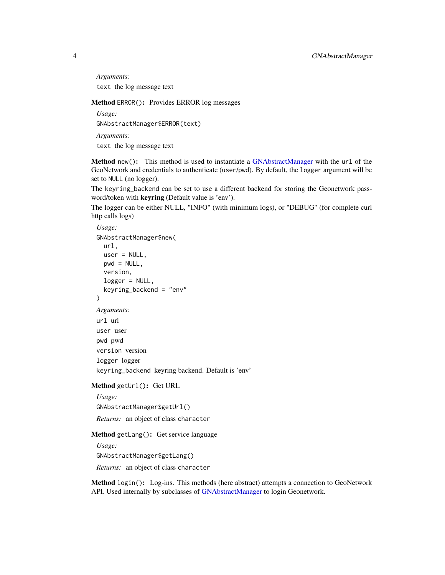*Arguments:* text the log message text

<span id="page-3-0"></span>Method ERROR(): Provides ERROR log messages

*Usage:*

GNAbstractManager\$ERROR(text)

*Arguments:*

text the log message text

<span id="page-3-1"></span>Method new(): This method is used to instantiate a [GNAbstractManager](#page-1-1) with the url of the GeoNetwork and credentials to authenticate (user/pwd). By default, the logger argument will be set to NULL (no logger).

The keyring\_backend can be set to use a different backend for storing the Geonetwork password/token with keyring (Default value is 'env').

The logger can be either NULL, "INFO" (with minimum logs), or "DEBUG" (for complete curl http calls logs)

```
Usage:
GNAbstractManager$new(
  url,
  user = NULL,
  pwd = NULL,
  version,
  logger = NULL,
  keyring_backend = "env"
)
Arguments:
url url
user user
pwd pwd
version version
logger logger
keyring_backend keyring backend. Default is 'env'
```
<span id="page-3-2"></span>Method getUrl(): Get URL

*Usage:* GNAbstractManager\$getUrl() *Returns:* an object of class character

<span id="page-3-3"></span>Method getLang(): Get service language

*Usage:*

GNAbstractManager\$getLang()

*Returns:* an object of class character

<span id="page-3-4"></span>Method login(): Log-ins. This methods (here abstract) attempts a connection to GeoNetwork API. Used internally by subclasses of [GNAbstractManager](#page-1-1) to login Geonetwork.

<span id="page-3-5"></span>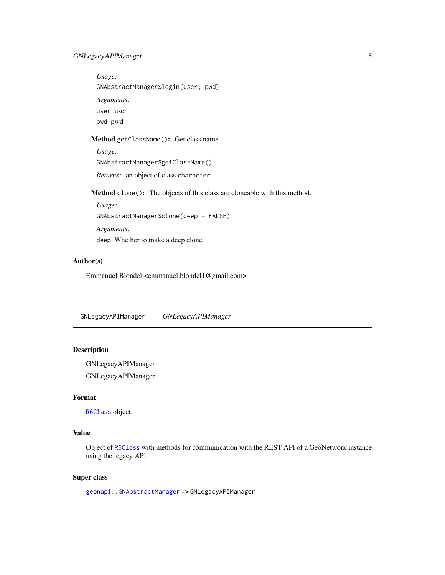## <span id="page-4-0"></span>GNLegacyAPIManager 5

*Usage:* GNAbstractManager\$login(user, pwd) *Arguments:* user user pwd pwd

## <span id="page-4-1"></span>Method getClassName(): Get class name

*Usage:* GNAbstractManager\$getClassName() *Returns:* an object of class character

<span id="page-4-2"></span>Method clone(): The objects of this class are cloneable with this method.

*Usage:* GNAbstractManager\$clone(deep = FALSE) *Arguments:* deep Whether to make a deep clone.

## Author(s)

Emmanuel Blondel <emmanuel.blondel1@gmail.com>

<span id="page-4-3"></span>GNLegacyAPIManager *GNLegacyAPIManager*

## Description

GNLegacyAPIManager GNLegacyAPIManager

#### Format

[R6Class](#page-0-0) object.

## Value

Object of [R6Class](#page-0-0) with methods for communication with the REST API of a GeoNetwork instance using the legacy API.

## Super class

[geonapi::GNAbstractManager](#page-0-0) -> GNLegacyAPIManager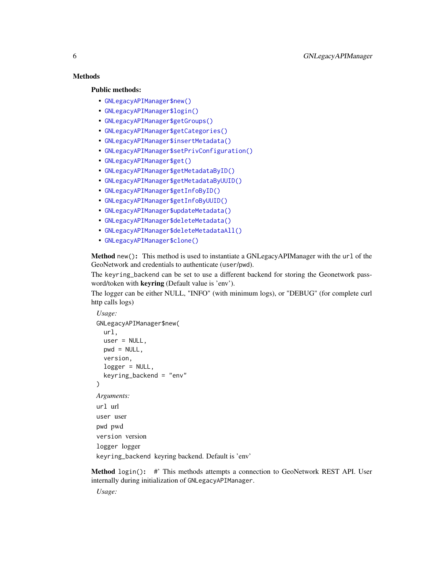## **Methods**

#### Public methods:

- [GNLegacyAPIManager\\$new\(\)](#page-5-0)
- [GNLegacyAPIManager\\$login\(\)](#page-5-1)
- [GNLegacyAPIManager\\$getGroups\(\)](#page-6-0)
- [GNLegacyAPIManager\\$getCategories\(\)](#page-6-1)
- [GNLegacyAPIManager\\$insertMetadata\(\)](#page-6-2)
- [GNLegacyAPIManager\\$setPrivConfiguration\(\)](#page-7-0)
- [GNLegacyAPIManager\\$get\(\)](#page-7-1)
- [GNLegacyAPIManager\\$getMetadataByID\(\)](#page-7-2)
- [GNLegacyAPIManager\\$getMetadataByUUID\(\)](#page-7-3)
- [GNLegacyAPIManager\\$getInfoByID\(\)](#page-7-4)
- [GNLegacyAPIManager\\$getInfoByUUID\(\)](#page-7-5)
- [GNLegacyAPIManager\\$updateMetadata\(\)](#page-8-0)
- [GNLegacyAPIManager\\$deleteMetadata\(\)](#page-8-1)
- [GNLegacyAPIManager\\$deleteMetadataAll\(\)](#page-8-2)
- [GNLegacyAPIManager\\$clone\(\)](#page-8-3)

<span id="page-5-0"></span>Method new(): This method is used to instantiate a GNLegacyAPIManager with the url of the GeoNetwork and credentials to authenticate (user/pwd).

The keyring\_backend can be set to use a different backend for storing the Geonetwork password/token with keyring (Default value is 'env').

The logger can be either NULL, "INFO" (with minimum logs), or "DEBUG" (for complete curl http calls logs)

```
Usage:
GNLegacyAPIManager$new(
  url,
  user = NULL,
  pwd = NULL,version,
  logger = NULL,
  keyring_backend = "env"
)
Arguments:
url url
user user
pwd pwd
version version
logger logger
keyring_backend keyring backend. Default is 'env'
```
<span id="page-5-1"></span>Method login(): #' This methods attempts a connection to GeoNetwork REST API. User internally during initialization of GNLegacyAPIManager.

*Usage:*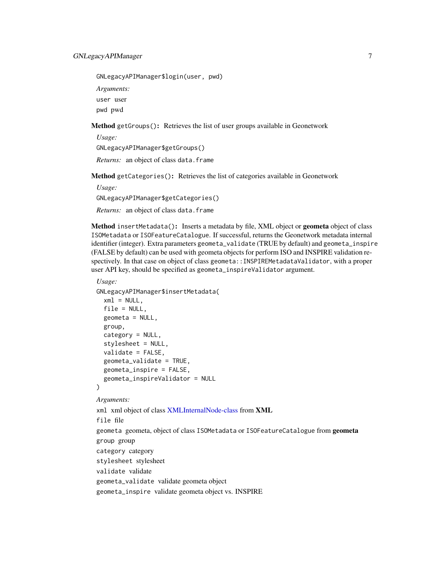<span id="page-6-3"></span>GNLegacyAPIManager\$login(user, pwd)

*Arguments:*

user user

pwd pwd

<span id="page-6-0"></span>Method getGroups(): Retrieves the list of user groups available in Geonetwork

*Usage:*

GNLegacyAPIManager\$getGroups()

*Returns:* an object of class data.frame

<span id="page-6-1"></span>Method getCategories(): Retrieves the list of categories available in Geonetwork

*Usage:*

GNLegacyAPIManager\$getCategories()

*Returns:* an object of class data.frame

<span id="page-6-2"></span>Method insertMetadata(): Inserts a metadata by file, XML object or geometa object of class ISOMetadata or ISOFeatureCatalogue. If successful, returns the Geonetwork metadata internal identifier (integer). Extra parameters geometa\_validate (TRUE by default) and geometa\_inspire (FALSE by default) can be used with geometa objects for perform ISO and INSPIRE validation respectively. In that case on object of class geometa::INSPIREMetadataValidator, with a proper user API key, should be specified as geometa\_inspireValidator argument.

#### *Usage:*

```
GNLegacyAPIManager$insertMetadata(
 xml = NULL,file = NULL,
  geometa = NULL,group,
  category = NULL,
  stylesheet = NULL,
  validate = FALSE,
  geometa_validate = TRUE,
  geometa_inspire = FALSE,
  geometa_inspireValidator = NULL
)
```
#### *Arguments:*

xml xml object of class [XMLInternalNode-class](#page-0-0) from XML file file geometa geometa, object of class ISOMetadata or ISOFeatureCatalogue from geometa group group category category stylesheet stylesheet validate validate geometa\_validate validate geometa object geometa\_inspire validate geometa object vs. INSPIRE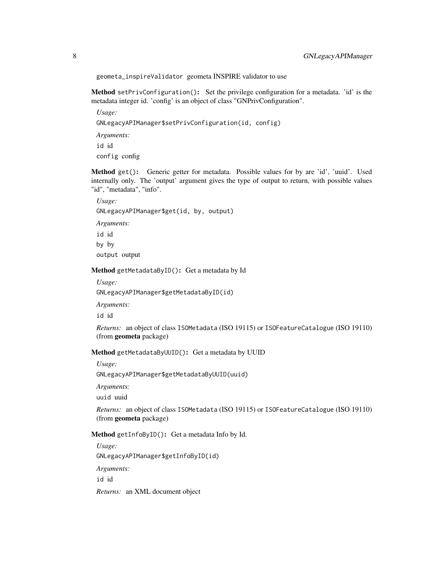geometa\_inspireValidator geometa INSPIRE validator to use

<span id="page-7-0"></span>Method setPrivConfiguration(): Set the privilege configuration for a metadata. 'id' is the metadata integer id. 'config' is an object of class "GNPrivConfiguration".

*Usage:*

GNLegacyAPIManager\$setPrivConfiguration(id, config)

*Arguments:*

id id

config config

<span id="page-7-1"></span>Method get(): Generic getter for metadata. Possible values for by are 'id', 'uuid'. Used internally only. The 'output' argument gives the type of output to return, with possible values "id", "metadata", "info".

*Usage:* GNLegacyAPIManager\$get(id, by, output) *Arguments:* id id by by output output

<span id="page-7-2"></span>Method getMetadataByID(): Get a metadata by Id

*Usage:*

GNLegacyAPIManager\$getMetadataByID(id)

*Arguments:*

id id

*Returns:* an object of class ISOMetadata (ISO 19115) or ISOFeatureCatalogue (ISO 19110) (from geometa package)

<span id="page-7-3"></span>Method getMetadataByUUID(): Get a metadata by UUID

*Usage:*

GNLegacyAPIManager\$getMetadataByUUID(uuid)

*Arguments:*

uuid uuid

*Returns:* an object of class ISOMetadata (ISO 19115) or ISOFeatureCatalogue (ISO 19110) (from geometa package)

<span id="page-7-4"></span>Method getInfoByID(): Get a metadata Info by Id.

*Usage:* GNLegacyAPIManager\$getInfoByID(id) *Arguments:* id id

<span id="page-7-5"></span>*Returns:* an XML document object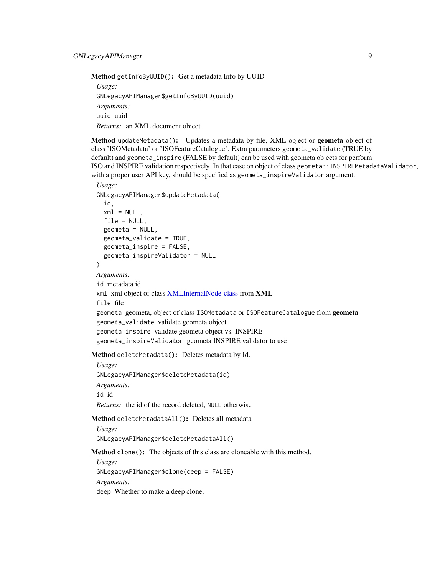<span id="page-8-4"></span>Method getInfoByUUID(): Get a metadata Info by UUID

*Usage:* GNLegacyAPIManager\$getInfoByUUID(uuid) *Arguments:* uuid uuid *Returns:* an XML document object

<span id="page-8-0"></span>Method updateMetadata(): Updates a metadata by file, XML object or geometa object of class 'ISOMetadata' or 'ISOFeatureCatalogue'. Extra parameters geometa\_validate (TRUE by default) and geometa\_inspire (FALSE by default) can be used with geometa objects for perform ISO and INSPIRE validation respectively. In that case on object of class geometa::INSPIREMetadataValidator, with a proper user API key, should be specified as geometa\_inspireValidator argument.

## *Usage:* GNLegacyAPIManager\$updateMetadata( id,  $xml = NULL,$ file = NULL,  $geometa = NULL,$ geometa\_validate = TRUE, geometa\_inspire = FALSE, geometa\_inspireValidator = NULL  $\mathcal{L}$ *Arguments:* id metadata id xml xml object of class [XMLInternalNode-class](#page-0-0) from XML file file geometa geometa, object of class ISOMetadata or ISOFeatureCatalogue from geometa geometa\_validate validate geometa object geometa\_inspire validate geometa object vs. INSPIRE geometa\_inspireValidator geometa INSPIRE validator to use

<span id="page-8-1"></span>Method deleteMetadata(): Deletes metadata by Id.

*Usage:* GNLegacyAPIManager\$deleteMetadata(id) *Arguments:* id id *Returns:* the id of the record deleted, NULL otherwise

<span id="page-8-2"></span>Method deleteMetadataAll(): Deletes all metadata

*Usage:* GNLegacyAPIManager\$deleteMetadataAll()

<span id="page-8-3"></span>Method clone(): The objects of this class are cloneable with this method.

*Usage:* GNLegacyAPIManager\$clone(deep = FALSE) *Arguments:* deep Whether to make a deep clone.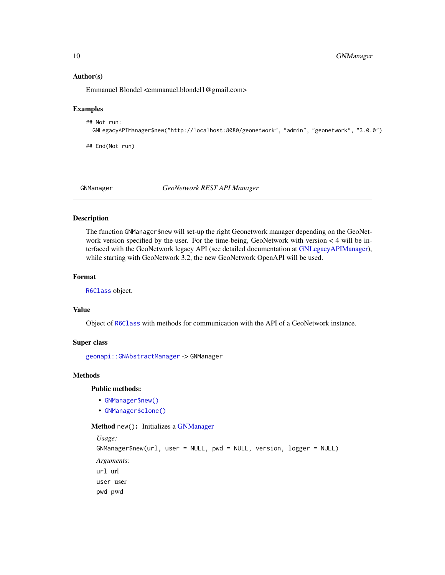#### Author(s)

Emmanuel Blondel <emmanuel.blondel1@gmail.com>

#### Examples

```
## Not run:
 GNLegacyAPIManager$new("http://localhost:8080/geonetwork", "admin", "geonetwork", "3.0.0")
```
## End(Not run)

<span id="page-9-2"></span>GNManager *GeoNetwork REST API Manager*

#### Description

The function GNManager\$new will set-up the right Geonetwork manager depending on the GeoNetwork version specified by the user. For the time-being, GeoNetwork with version < 4 will be interfaced with the GeoNetwork legacy API (see detailed documentation at [GNLegacyAPIManager\)](#page-4-3), while starting with GeoNetwork 3.2, the new GeoNetwork OpenAPI will be used.

## Format

[R6Class](#page-0-0) object.

#### Value

Object of [R6Class](#page-0-0) with methods for communication with the API of a GeoNetwork instance.

## Super class

[geonapi::GNAbstractManager](#page-0-0) -> GNManager

## **Methods**

Public methods:

- [GNManager\\$new\(\)](#page-9-1)
- [GNManager\\$clone\(\)](#page-10-1)

<span id="page-9-1"></span>Method new(): Initializes a [GNManager](#page-9-2)

```
Usage:
GNManager$new(url, user = NULL, pwd = NULL, version, logger = NULL)
Arguments:
url url
user user
pwd pwd
```
<span id="page-9-0"></span>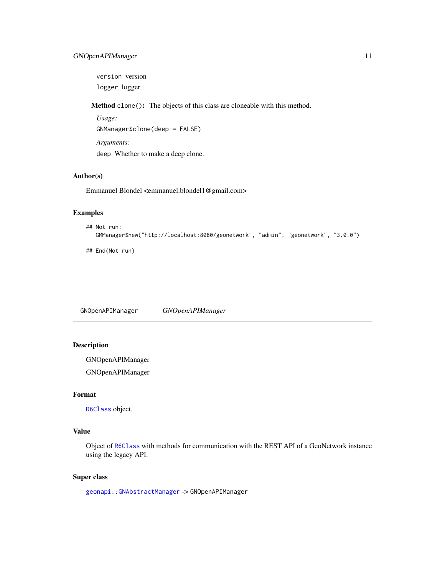## <span id="page-10-0"></span>GNOpenAPIManager 11

version version logger logger

<span id="page-10-1"></span>Method clone(): The objects of this class are cloneable with this method.

*Usage:* GNManager\$clone(deep = FALSE) *Arguments:* deep Whether to make a deep clone.

## Author(s)

Emmanuel Blondel <emmanuel.blondel1@gmail.com>

## Examples

```
## Not run:
  GMManager$new("http://localhost:8080/geonetwork", "admin", "geonetwork", "3.0.0")
```
## End(Not run)

GNOpenAPIManager *GNOpenAPIManager*

## Description

GNOpenAPIManager

GNOpenAPIManager

## Format

[R6Class](#page-0-0) object.

## Value

Object of [R6Class](#page-0-0) with methods for communication with the REST API of a GeoNetwork instance using the legacy API.

#### Super class

[geonapi::GNAbstractManager](#page-0-0) -> GNOpenAPIManager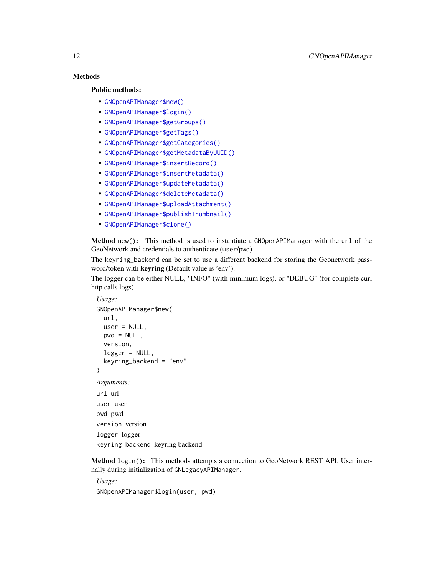## **Methods**

## Public methods:

- [GNOpenAPIManager\\$new\(\)](#page-11-0)
- [GNOpenAPIManager\\$login\(\)](#page-11-1)
- [GNOpenAPIManager\\$getGroups\(\)](#page-12-0)
- [GNOpenAPIManager\\$getTags\(\)](#page-12-1)
- [GNOpenAPIManager\\$getCategories\(\)](#page-12-2)
- [GNOpenAPIManager\\$getMetadataByUUID\(\)](#page-12-3)
- [GNOpenAPIManager\\$insertRecord\(\)](#page-12-4)
- [GNOpenAPIManager\\$insertMetadata\(\)](#page-13-0)
- [GNOpenAPIManager\\$updateMetadata\(\)](#page-14-0)
- [GNOpenAPIManager\\$deleteMetadata\(\)](#page-15-0)
- [GNOpenAPIManager\\$uploadAttachment\(\)](#page-15-1)
- [GNOpenAPIManager\\$publishThumbnail\(\)](#page-15-2)
- [GNOpenAPIManager\\$clone\(\)](#page-16-1)

<span id="page-11-0"></span>Method new(): This method is used to instantiate a GNOpenAPIManager with the url of the GeoNetwork and credentials to authenticate (user/pwd).

The keyring\_backend can be set to use a different backend for storing the Geonetwork password/token with keyring (Default value is 'env').

The logger can be either NULL, "INFO" (with minimum logs), or "DEBUG" (for complete curl http calls logs)

```
Usage:
GNOpenAPIManager$new(
  url,
  user = NULL,
  pwd = NULL,version,
  logger = NULL,
  keyring_backend = "env"
\lambdaArguments:
url url
user user
pwd pwd
version version
logger logger
keyring_backend keyring backend
```
<span id="page-11-1"></span>Method login(): This methods attempts a connection to GeoNetwork REST API. User internally during initialization of GNLegacyAPIManager.

*Usage:* GNOpenAPIManager\$login(user, pwd)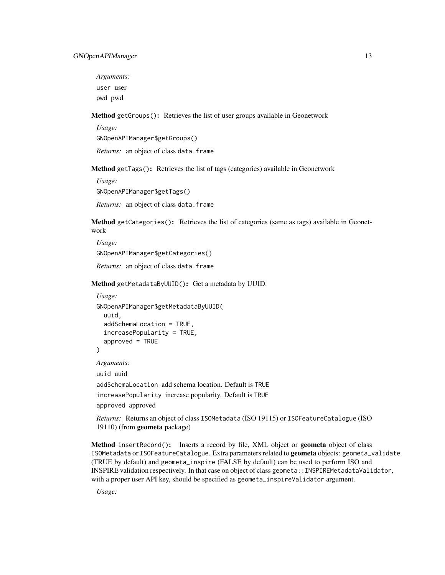*Arguments:* user user pwd pwd

<span id="page-12-0"></span>Method getGroups(): Retrieves the list of user groups available in Geonetwork

*Usage:*

GNOpenAPIManager\$getGroups()

*Returns:* an object of class data.frame

<span id="page-12-1"></span>Method getTags(): Retrieves the list of tags (categories) available in Geonetwork

*Usage:*

GNOpenAPIManager\$getTags()

*Returns:* an object of class data.frame

<span id="page-12-2"></span>Method getCategories(): Retrieves the list of categories (same as tags) available in Geonetwork

*Usage:* GNOpenAPIManager\$getCategories()

*Returns:* an object of class data.frame

<span id="page-12-3"></span>Method getMetadataByUUID(): Get a metadata by UUID.

```
Usage:
GNOpenAPIManager$getMetadataByUUID(
  uuid,
  addSchemaLocation = TRUE,
  increasePopularity = TRUE,
  approved = TRUE
)
Arguments:
uuid uuid
addSchemaLocation add schema location. Default is TRUE
increasePopularity increase popularity. Default is TRUE
```
approved approved

*Returns:* Returns an object of class ISOMetadata (ISO 19115) or ISOFeatureCatalogue (ISO 19110) (from geometa package)

<span id="page-12-4"></span>Method insertRecord(): Inserts a record by file, XML object or geometa object of class ISOMetadata or ISOFeatureCatalogue. Extra parameters related to geometa objects: geometa\_validate (TRUE by default) and geometa\_inspire (FALSE by default) can be used to perform ISO and INSPIRE validation respectively. In that case on object of class geometa::INSPIREMetadataValidator, with a proper user API key, should be specified as geometa\_inspireValidator argument.

*Usage:*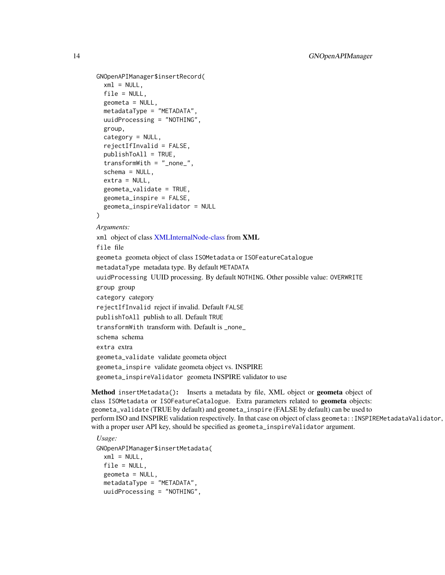```
GNOpenAPIManager$insertRecord(
  xml = NULL,file = NULL,
  geometa = NULL,
  metadataType = "METADATA",
  uuidProcessing = "NOTHING",
  group,
  category = NULL,
  rejectIfInvalid = FALSE,
  publishToAll = TRUE,
  transformWith = "_none_",
  schema = NULL,
  extra = NULL,geometa_validate = TRUE,
  geometa_inspire = FALSE,
  geometa_inspireValidator = NULL
\mathcal{L}Arguments:
xml object of class XMLInternalNode-class from XML
file file
geometa geometa object of class ISOMetadata or ISOFeatureCatalogue
metadataType metadata type. By default METADATA
uuidProcessing UUID processing. By default NOTHING. Other possible value: OVERWRITE
group group
category category
rejectIfInvalid reject if invalid. Default FALSE
publishToAll publish to all. Default TRUE
transformWith transform with. Default is _none_
schema schema
extra extra
geometa_validate validate geometa object
geometa_inspire validate geometa object vs. INSPIRE
geometa_inspireValidator geometa INSPIRE validator to use
```
<span id="page-13-0"></span>Method insertMetadata(): Inserts a metadata by file, XML object or geometa object of class ISOMetadata or ISOFeatureCatalogue. Extra parameters related to geometa objects: geometa\_validate (TRUE by default) and geometa\_inspire (FALSE by default) can be used to perform ISO and INSPIRE validation respectively. In that case on object of class geometa::INSPIREMetadataValidator, with a proper user API key, should be specified as geometa\_inspireValidator argument.

```
Usage:
GNOpenAPIManager$insertMetadata(
 xml = NULL.
 file = NULL,
 geometa = NULL,
 metadataType = "METADATA",
 uuidProcessing = "NOTHING",
```
<span id="page-13-1"></span>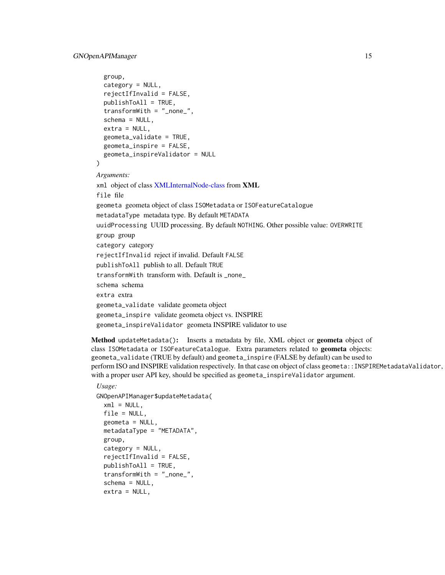## GNOpenAPIManager 15

```
group,
  category = NULL,
  rejectIfInvalid = FALSE,
  publishToAll = TRUE,
  transformWith = "_none_",
  schema = NULL,
  extra = NULL,
  geometa_validate = TRUE,
  geometa_inspire = FALSE,
  geometa_inspireValidator = NULL
\lambdaArguments:
xml object of class XMLInternalNode-class from XML
file file
geometa geometa object of class ISOMetadata or ISOFeatureCatalogue
metadataType metadata type. By default METADATA
uuidProcessing UUID processing. By default NOTHING. Other possible value: OVERWRITE
group group
category category
rejectIfInvalid reject if invalid. Default FALSE
publishToAll publish to all. Default TRUE
transformWith transform with. Default is _none_
schema schema
extra extra
geometa_validate validate geometa object
geometa_inspire validate geometa object vs. INSPIRE
geometa_inspireValidator geometa INSPIRE validator to use
```
<span id="page-14-0"></span>Method updateMetadata(): Inserts a metadata by file, XML object or geometa object of class ISOMetadata or ISOFeatureCatalogue. Extra parameters related to geometa objects: geometa\_validate (TRUE by default) and geometa\_inspire (FALSE by default) can be used to perform ISO and INSPIRE validation respectively. In that case on object of class geometa:: INSPIREMetadataValidator, with a proper user API key, should be specified as geometa\_inspireValidator argument.

```
Usage:
```

```
GNOpenAPIManager$updateMetadata(
  xml = NULL,file = NULL,
 geometa = NULL,
  metadataType = "METADATA",
 group,
  category = NULL,
  rejectIfInvalid = FALSE,
 publishToAll = TRUE,
  transformWith = "_none_",
  schema = NULL,
  extra = NULL,
```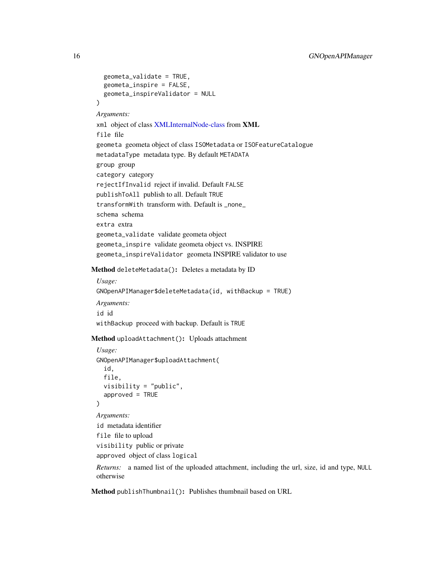```
geometa_validate = TRUE,
   geometa_inspire = FALSE,
   geometa_inspireValidator = NULL
 \lambdaArguments:
 xml object of class XMLInternalNode-class from XML
 file file
 geometa geometa object of class ISOMetadata or ISOFeatureCatalogue
 metadataType metadata type. By default METADATA
 group group
 category category
 rejectIfInvalid reject if invalid. Default FALSE
 publishToAll publish to all. Default TRUE
 transformWith transform with. Default is _none_
 schema schema
 extra extra
 geometa_validate validate geometa object
 geometa_inspire validate geometa object vs. INSPIRE
 geometa_inspireValidator geometa INSPIRE validator to use
Method deleteMetadata(): Deletes a metadata by ID
 Usage:
 GNOpenAPIManager$deleteMetadata(id, withBackup = TRUE)
 Arguments:
 id id
 withBackup proceed with backup. Default is TRUE
Method uploadAttachment(): Uploads attachment
 Usage:
 GNOpenAPIManager$uploadAttachment(
   id,
   file,
   visibility = "public",
    approved = TRUE
 )
 Arguments:
 id metadata identifier
 file file to upload
 visibility public or private
 approved object of class logical
 Returns: a named list of the uploaded attachment, including the url, size, id and type, NULL
```
<span id="page-15-2"></span>Method publishThumbnail(): Publishes thumbnail based on URL

<span id="page-15-1"></span>otherwise

<span id="page-15-3"></span>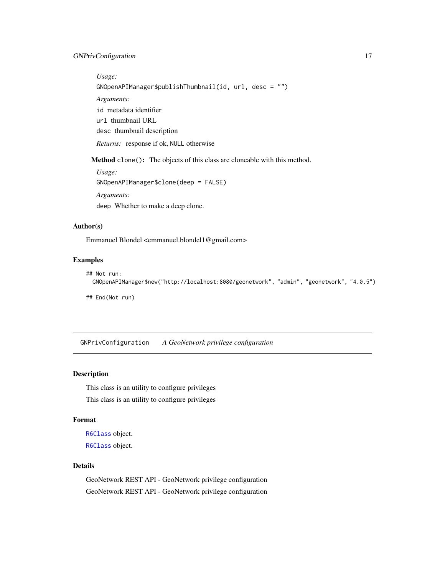## <span id="page-16-0"></span>GNPrivConfiguration 17

*Usage:* GNOpenAPIManager\$publishThumbnail(id, url, desc = "") *Arguments:* id metadata identifier url thumbnail URL desc thumbnail description *Returns:* response if ok, NULL otherwise

<span id="page-16-1"></span>Method clone(): The objects of this class are cloneable with this method.

*Usage:* GNOpenAPIManager\$clone(deep = FALSE) *Arguments:* deep Whether to make a deep clone.

#### Author(s)

Emmanuel Blondel <emmanuel.blondel1@gmail.com>

## Examples

```
## Not run:
 GNOpenAPIManager$new("http://localhost:8080/geonetwork", "admin", "geonetwork", "4.0.5")
## End(Not run)
```
<span id="page-16-3"></span>GNPrivConfiguration *A GeoNetwork privilege configuration*

#### <span id="page-16-2"></span>Description

This class is an utility to configure privileges This class is an utility to configure privileges

#### Format

[R6Class](#page-0-0) object. [R6Class](#page-0-0) object.

## Details

GeoNetwork REST API - GeoNetwork privilege configuration GeoNetwork REST API - GeoNetwork privilege configuration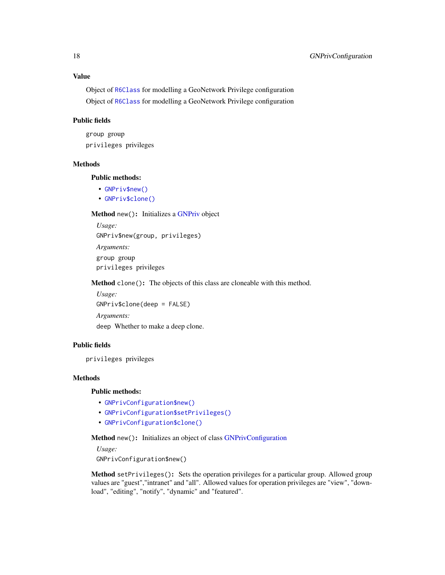<span id="page-17-4"></span>Object of [R6Class](#page-0-0) for modelling a GeoNetwork Privilege configuration Object of [R6Class](#page-0-0) for modelling a GeoNetwork Privilege configuration

## Public fields

group group privileges privileges

## Methods

Public methods:

- [GNPriv\\$new\(\)](#page-17-0)
- [GNPriv\\$clone\(\)](#page-17-1)

#### <span id="page-17-0"></span>Method new(): Initializes a [GNPriv](#page-16-2) object

*Usage:* GNPriv\$new(group, privileges) *Arguments:* group group privileges privileges

<span id="page-17-1"></span>Method clone(): The objects of this class are cloneable with this method.

*Usage:* GNPriv\$clone(deep = FALSE) *Arguments:* deep Whether to make a deep clone.

## Public fields

privileges privileges

#### **Methods**

Public methods:

- [GNPrivConfiguration\\$new\(\)](#page-17-2)
- [GNPrivConfiguration\\$setPrivileges\(\)](#page-17-3)
- [GNPrivConfiguration\\$clone\(\)](#page-18-1)

<span id="page-17-2"></span>Method new(): Initializes an object of class [GNPrivConfiguration](#page-16-3)

*Usage:*

GNPrivConfiguration\$new()

<span id="page-17-3"></span>Method setPrivileges(): Sets the operation privileges for a particular group. Allowed group values are "guest","intranet" and "all". Allowed values for operation privileges are "view", "download", "editing", "notify", "dynamic" and "featured".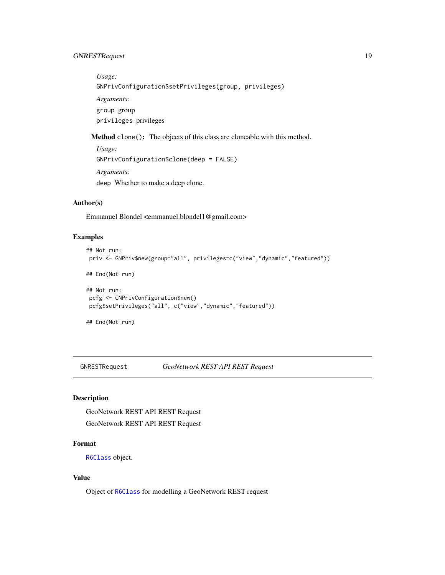## <span id="page-18-0"></span>GNRESTRequest 19

*Usage:* GNPrivConfiguration\$setPrivileges(group, privileges) *Arguments:* group group privileges privileges

<span id="page-18-1"></span>Method clone(): The objects of this class are cloneable with this method.

```
Usage:
GNPrivConfiguration$clone(deep = FALSE)
Arguments:
deep Whether to make a deep clone.
```
## Author(s)

Emmanuel Blondel <emmanuel.blondel1@gmail.com>

## Examples

```
## Not run:
priv <- GNPriv$new(group="all", privileges=c("view","dynamic","featured"))
## End(Not run)
## Not run:
pcfg <- GNPrivConfiguration$new()
pcfg$setPrivileges("all", c("view","dynamic","featured"))
## End(Not run)
```
<span id="page-18-2"></span>GNRESTRequest *GeoNetwork REST API REST Request*

## Description

GeoNetwork REST API REST Request GeoNetwork REST API REST Request

## Format

[R6Class](#page-0-0) object.

## Value

Object of [R6Class](#page-0-0) for modelling a GeoNetwork REST request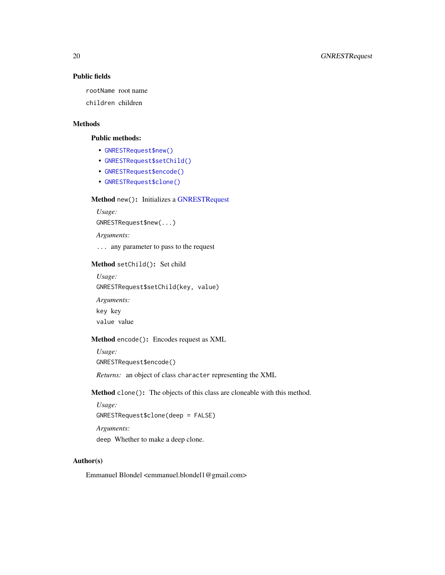## Public fields

rootName root name

children children

## Methods

#### Public methods:

- [GNRESTRequest\\$new\(\)](#page-19-0)
- [GNRESTRequest\\$setChild\(\)](#page-19-1)
- [GNRESTRequest\\$encode\(\)](#page-19-2)
- [GNRESTRequest\\$clone\(\)](#page-19-3)

## <span id="page-19-0"></span>Method new(): Initializes a [GNRESTRequest](#page-18-2)

*Usage:* GNRESTRequest\$new(...)

*Arguments:*

... any parameter to pass to the request

## <span id="page-19-1"></span>Method setChild(): Set child

*Usage:* GNRESTRequest\$setChild(key, value)

*Arguments:* key key value value

## <span id="page-19-2"></span>Method encode(): Encodes request as XML

*Usage:* GNRESTRequest\$encode()

*Returns:* an object of class character representing the XML

<span id="page-19-3"></span>Method clone(): The objects of this class are cloneable with this method.

*Usage:*

GNRESTRequest\$clone(deep = FALSE)

*Arguments:*

deep Whether to make a deep clone.

## Author(s)

Emmanuel Blondel <emmanuel.blondel1@gmail.com>

<span id="page-19-4"></span>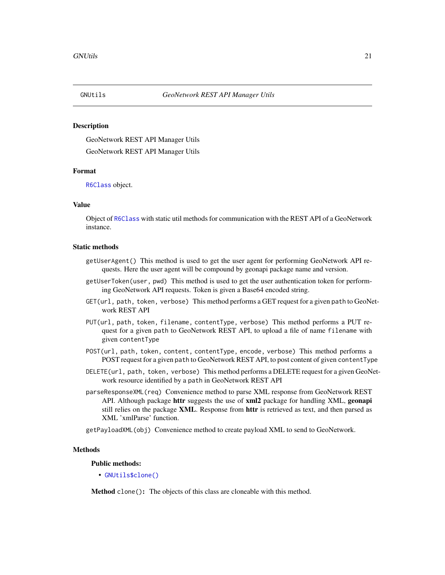#### <span id="page-20-0"></span>Description

GeoNetwork REST API Manager Utils GeoNetwork REST API Manager Utils

## Format

[R6Class](#page-0-0) object.

## Value

Object of [R6Class](#page-0-0) with static util methods for communication with the REST API of a GeoNetwork instance.

#### Static methods

- getUserAgent() This method is used to get the user agent for performing GeoNetwork API requests. Here the user agent will be compound by geonapi package name and version.
- getUserToken(user, pwd) This method is used to get the user authentication token for performing GeoNetwork API requests. Token is given a Base64 encoded string.
- GET(url, path, token, verbose) This method performs a GET request for a given path to GeoNetwork REST API
- PUT(url, path, token, filename, contentType, verbose) This method performs a PUT request for a given path to GeoNetwork REST API, to upload a file of name filename with given contentType
- POST(url, path, token, content, contentType, encode, verbose) This method performs a POST request for a given path to GeoNetwork REST API, to post content of given contentType
- DELETE(url, path, token, verbose) This method performs a DELETE request for a given GeoNetwork resource identified by a path in GeoNetwork REST API
- parseResponseXML(req) Convenience method to parse XML response from GeoNetwork REST API. Although package **httr** suggests the use of **xml2** package for handling XML, **geonapi** still relies on the package XML. Response from httr is retrieved as text, and then parsed as XML 'xmlParse' function.

getPayloadXML(obj) Convenience method to create payload XML to send to GeoNetwork.

#### Methods

#### Public methods:

• [GNUtils\\$clone\(\)](#page-20-1)

<span id="page-20-1"></span>Method clone(): The objects of this class are cloneable with this method.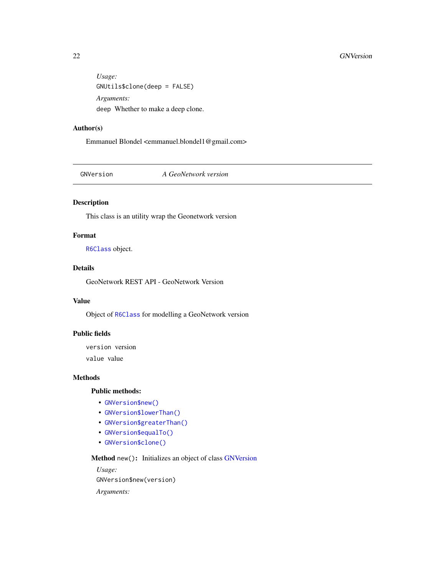```
Usage:
GNUtils$clone(deep = FALSE)
Arguments:
deep Whether to make a deep clone.
```
## Author(s)

Emmanuel Blondel <emmanuel.blondel1@gmail.com>

<span id="page-21-2"></span>GNVersion *A GeoNetwork version*

## Description

This class is an utility wrap the Geonetwork version

## Format

[R6Class](#page-0-0) object.

## Details

GeoNetwork REST API - GeoNetwork Version

#### Value

Object of [R6Class](#page-0-0) for modelling a GeoNetwork version

## Public fields

version version value value

#### Methods

## Public methods:

- [GNVersion\\$new\(\)](#page-21-1)
- [GNVersion\\$lowerThan\(\)](#page-22-0)
- [GNVersion\\$greaterThan\(\)](#page-22-1)
- [GNVersion\\$equalTo\(\)](#page-22-2)
- [GNVersion\\$clone\(\)](#page-22-3)

<span id="page-21-1"></span>Method new(): Initializes an object of class [GNVersion](#page-21-2)

*Usage:* GNVersion\$new(version)

*Arguments:*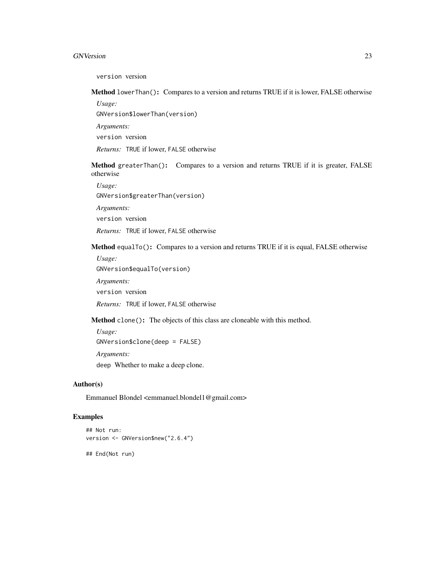#### GNVersion 23

version version

<span id="page-22-0"></span>Method lowerThan(): Compares to a version and returns TRUE if it is lower, FALSE otherwise

*Usage:*

GNVersion\$lowerThan(version)

*Arguments:*

version version

*Returns:* TRUE if lower, FALSE otherwise

<span id="page-22-1"></span>Method greaterThan(): Compares to a version and returns TRUE if it is greater, FALSE otherwise

*Usage:*

GNVersion\$greaterThan(version)

*Arguments:*

version version

*Returns:* TRUE if lower, FALSE otherwise

<span id="page-22-2"></span>Method equalTo(): Compares to a version and returns TRUE if it is equal, FALSE otherwise

*Usage:*

GNVersion\$equalTo(version)

*Arguments:*

version version

*Returns:* TRUE if lower, FALSE otherwise

<span id="page-22-3"></span>Method clone(): The objects of this class are cloneable with this method.

*Usage:* GNVersion\$clone(deep = FALSE) *Arguments:* deep Whether to make a deep clone.

## Author(s)

Emmanuel Blondel <emmanuel.blondel1@gmail.com>

## Examples

```
## Not run:
version <- GNVersion$new("2.6.4")
## End(Not run)
```